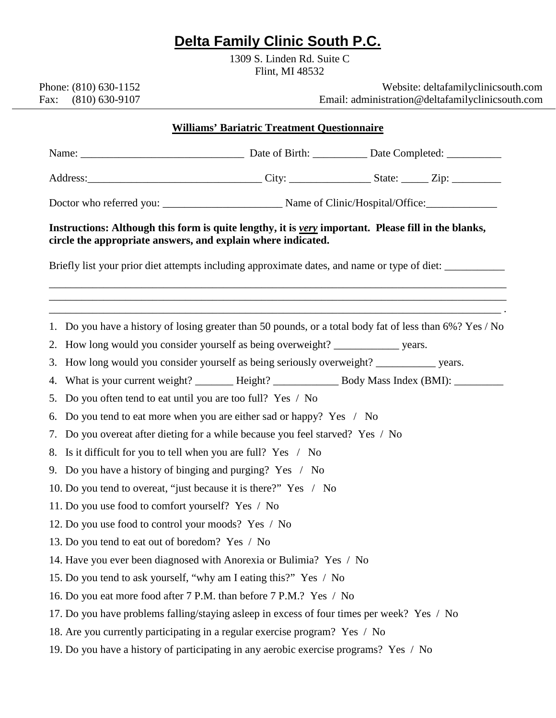## **Delta Family Clinic South P.C.**

1309 S. Linden Rd. Suite C Flint, MI 48532

 Phone: (810) 630-1152 Fax: (810) 630-9107

 Website: deltafamilyclinicsouth.com Email: administration@deltafamilyclinicsouth.com

| <b>Williams' Bariatric Treatment Questionnaire</b>                                                                                                                  |                                                                                                          |  |  |  |  |
|---------------------------------------------------------------------------------------------------------------------------------------------------------------------|----------------------------------------------------------------------------------------------------------|--|--|--|--|
|                                                                                                                                                                     |                                                                                                          |  |  |  |  |
|                                                                                                                                                                     |                                                                                                          |  |  |  |  |
|                                                                                                                                                                     |                                                                                                          |  |  |  |  |
| Instructions: Although this form is quite lengthy, it is very important. Please fill in the blanks,<br>circle the appropriate answers, and explain where indicated. |                                                                                                          |  |  |  |  |
| Briefly list your prior diet attempts including approximate dates, and name or type of diet:                                                                        |                                                                                                          |  |  |  |  |
|                                                                                                                                                                     | 1. Do you have a history of losing greater than 50 pounds, or a total body fat of less than 6%? Yes / No |  |  |  |  |
|                                                                                                                                                                     | 2. How long would you consider yourself as being overweight? ______________ years.                       |  |  |  |  |
|                                                                                                                                                                     | 3. How long would you consider yourself as being seriously overweight? ___________ years.                |  |  |  |  |
|                                                                                                                                                                     | 4. What is your current weight? ______ Height? __________ Body Mass Index (BMI): ________                |  |  |  |  |
|                                                                                                                                                                     | 5. Do you often tend to eat until you are too full? Yes / No                                             |  |  |  |  |
|                                                                                                                                                                     | 6. Do you tend to eat more when you are either sad or happy? Yes / No                                    |  |  |  |  |
|                                                                                                                                                                     | 7. Do you overeat after dieting for a while because you feel starved? Yes / No                           |  |  |  |  |
|                                                                                                                                                                     | 8. Is it difficult for you to tell when you are full? Yes / No                                           |  |  |  |  |
|                                                                                                                                                                     | 9. Do you have a history of binging and purging? Yes / No                                                |  |  |  |  |
| 10. Do you tend to overeat, "just because it is there?" Yes / No                                                                                                    |                                                                                                          |  |  |  |  |
| 11. Do you use food to comfort yourself? Yes / No                                                                                                                   |                                                                                                          |  |  |  |  |
| 12. Do you use food to control your moods? Yes / No                                                                                                                 |                                                                                                          |  |  |  |  |
| 13. Do you tend to eat out of boredom? Yes / No                                                                                                                     |                                                                                                          |  |  |  |  |
| 14. Have you ever been diagnosed with Anorexia or Bulimia? Yes / No                                                                                                 |                                                                                                          |  |  |  |  |
| 15. Do you tend to ask yourself, "why am I eating this?" Yes / No                                                                                                   |                                                                                                          |  |  |  |  |
| 16. Do you eat more food after 7 P.M. than before 7 P.M.? Yes / No                                                                                                  |                                                                                                          |  |  |  |  |
| 17. Do you have problems falling/staying asleep in excess of four times per week? Yes / No                                                                          |                                                                                                          |  |  |  |  |
| 18. Are you currently participating in a regular exercise program? Yes / No                                                                                         |                                                                                                          |  |  |  |  |
|                                                                                                                                                                     | 19. Do you have a history of participating in any aerobic exercise programs? Yes / No                    |  |  |  |  |
|                                                                                                                                                                     |                                                                                                          |  |  |  |  |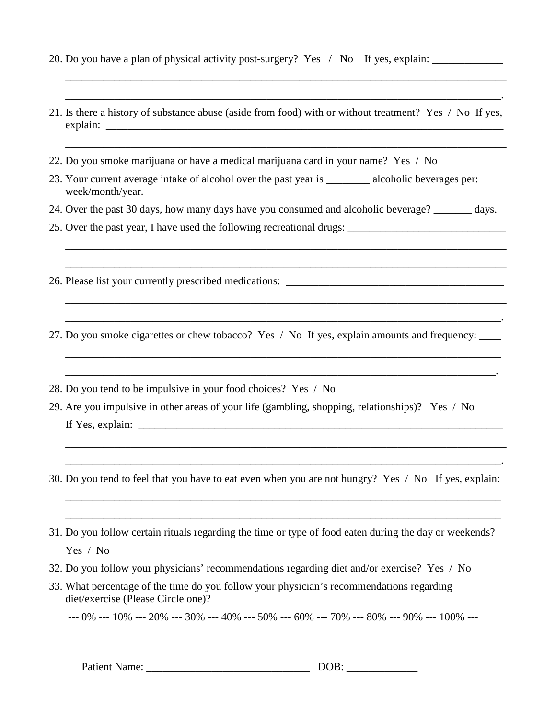- 20. Do you have a plan of physical activity post-surgery? Yes / No If yes, explain: \_\_\_\_\_\_\_\_\_\_\_\_\_\_\_\_\_\_\_\_\_\_\_\_\_\_
- 21. Is there a history of substance abuse (aside from food) with or without treatment? Yes / No If yes, explain:

\_\_\_\_\_\_\_\_\_\_\_\_\_\_\_\_\_\_\_\_\_\_\_\_\_\_\_\_\_\_\_\_\_\_\_\_\_\_\_\_\_\_\_\_\_\_\_\_\_\_\_\_\_\_\_\_\_\_\_\_\_\_\_\_\_\_\_\_\_\_\_\_\_\_\_\_\_\_\_\_\_ \_\_\_\_\_\_\_\_\_\_\_\_\_\_\_\_\_\_\_\_\_\_\_\_\_\_\_\_\_\_\_\_\_\_\_\_\_\_\_\_\_\_\_\_\_\_\_\_\_\_\_\_\_\_\_\_\_\_\_\_\_\_\_\_\_\_\_\_\_\_\_\_\_\_\_\_\_\_\_\_.

\_\_\_\_\_\_\_\_\_\_\_\_\_\_\_\_\_\_\_\_\_\_\_\_\_\_\_\_\_\_\_\_\_\_\_\_\_\_\_\_\_\_\_\_\_\_\_\_\_\_\_\_\_\_\_\_\_\_\_\_\_\_\_\_\_\_\_\_\_\_\_\_\_\_\_\_\_\_\_\_\_

- 22. Do you smoke marijuana or have a medical marijuana card in your name? Yes / No
- 23. Your current average intake of alcohol over the past year is \_\_\_\_\_\_\_\_\_ alcoholic beverages per: week/month/year.
- 24. Over the past 30 days, how many days have you consumed and alcoholic beverage? \_\_\_\_\_\_\_ days.

\_\_\_\_\_\_\_\_\_\_\_\_\_\_\_\_\_\_\_\_\_\_\_\_\_\_\_\_\_\_\_\_\_\_\_\_\_\_\_\_\_\_\_\_\_\_\_\_\_\_\_\_\_\_\_\_\_\_\_\_\_\_\_\_\_\_\_\_\_\_\_\_\_\_\_\_\_\_\_\_\_ \_\_\_\_\_\_\_\_\_\_\_\_\_\_\_\_\_\_\_\_\_\_\_\_\_\_\_\_\_\_\_\_\_\_\_\_\_\_\_\_\_\_\_\_\_\_\_\_\_\_\_\_\_\_\_\_\_\_\_\_\_\_\_\_\_\_\_\_\_\_\_\_\_\_\_\_\_\_\_\_\_

\_\_\_\_\_\_\_\_\_\_\_\_\_\_\_\_\_\_\_\_\_\_\_\_\_\_\_\_\_\_\_\_\_\_\_\_\_\_\_\_\_\_\_\_\_\_\_\_\_\_\_\_\_\_\_\_\_\_\_\_\_\_\_\_\_\_\_\_\_\_\_\_\_\_\_\_\_\_\_\_\_ \_\_\_\_\_\_\_\_\_\_\_\_\_\_\_\_\_\_\_\_\_\_\_\_\_\_\_\_\_\_\_\_\_\_\_\_\_\_\_\_\_\_\_\_\_\_\_\_\_\_\_\_\_\_\_\_\_\_\_\_\_\_\_\_\_\_\_\_\_\_\_\_\_\_\_\_\_\_\_\_.

\_\_\_\_\_\_\_\_\_\_\_\_\_\_\_\_\_\_\_\_\_\_\_\_\_\_\_\_\_\_\_\_\_\_\_\_\_\_\_\_\_\_\_\_\_\_\_\_\_\_\_\_\_\_\_\_\_\_\_\_\_\_\_\_\_\_\_\_\_\_\_\_\_\_\_\_\_\_\_\_ \_\_\_\_\_\_\_\_\_\_\_\_\_\_\_\_\_\_\_\_\_\_\_\_\_\_\_\_\_\_\_\_\_\_\_\_\_\_\_\_\_\_\_\_\_\_\_\_\_\_\_\_\_\_\_\_\_\_\_\_\_\_\_\_\_\_\_\_\_\_\_\_\_\_\_\_\_\_\_.

- 25. Over the past year, I have used the following recreational drugs: \_\_\_\_\_\_\_\_\_\_\_\_\_\_\_\_\_\_\_\_\_\_\_\_\_\_\_\_\_
- 26. Please list your currently prescribed medications:
- 27. Do you smoke cigarettes or chew tobacco? Yes / No If yes, explain amounts and frequency: \_\_\_\_
- 28. Do you tend to be impulsive in your food choices? Yes / No
- 29. Are you impulsive in other areas of your life (gambling, shopping, relationships)? Yes / No If Yes, explain:  $\Box$
- 30. Do you tend to feel that you have to eat even when you are not hungry? Yes / No If yes, explain:

\_\_\_\_\_\_\_\_\_\_\_\_\_\_\_\_\_\_\_\_\_\_\_\_\_\_\_\_\_\_\_\_\_\_\_\_\_\_\_\_\_\_\_\_\_\_\_\_\_\_\_\_\_\_\_\_\_\_\_\_\_\_\_\_\_\_\_\_\_\_\_\_\_\_\_\_\_\_\_\_ \_\_\_\_\_\_\_\_\_\_\_\_\_\_\_\_\_\_\_\_\_\_\_\_\_\_\_\_\_\_\_\_\_\_\_\_\_\_\_\_\_\_\_\_\_\_\_\_\_\_\_\_\_\_\_\_\_\_\_\_\_\_\_\_\_\_\_\_\_\_\_\_\_\_\_\_\_\_\_\_

\_\_\_\_\_\_\_\_\_\_\_\_\_\_\_\_\_\_\_\_\_\_\_\_\_\_\_\_\_\_\_\_\_\_\_\_\_\_\_\_\_\_\_\_\_\_\_\_\_\_\_\_\_\_\_\_\_\_\_\_\_\_\_\_\_\_\_\_\_\_\_\_\_\_\_\_\_\_\_\_\_ \_\_\_\_\_\_\_\_\_\_\_\_\_\_\_\_\_\_\_\_\_\_\_\_\_\_\_\_\_\_\_\_\_\_\_\_\_\_\_\_\_\_\_\_\_\_\_\_\_\_\_\_\_\_\_\_\_\_\_\_\_\_\_\_\_\_\_\_\_\_\_\_\_\_\_\_\_\_\_\_.

- 31. Do you follow certain rituals regarding the time or type of food eaten during the day or weekends? Yes / No
- 32. Do you follow your physicians' recommendations regarding diet and/or exercise? Yes / No
- 33. What percentage of the time do you follow your physician's recommendations regarding diet/exercise (Please Circle one)?

--- 0% --- 10% --- 20% --- 30% --- 40% --- 50% --- 60% --- 70% --- 80% --- 90% --- 100% ---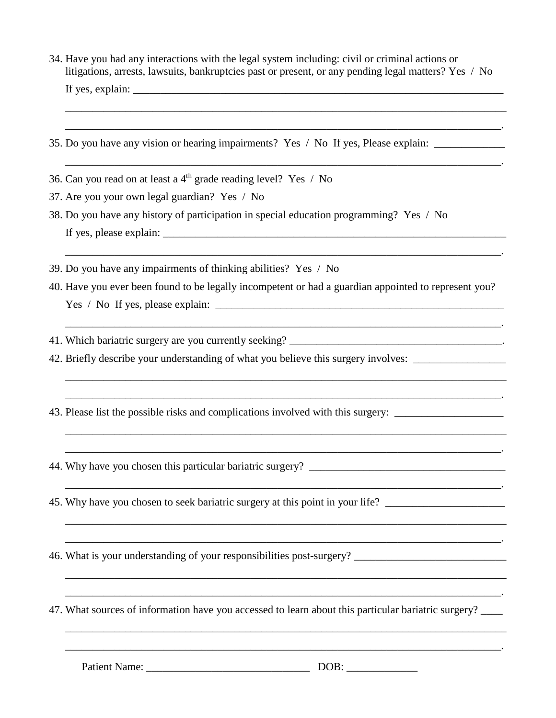34. Have you had any interactions with the legal system including: civil or criminal actions or litigations, arrests, lawsuits, bankruptcies past or present, or any pending legal matters? Yes / No If yes, explain:

\_\_\_\_\_\_\_\_\_\_\_\_\_\_\_\_\_\_\_\_\_\_\_\_\_\_\_\_\_\_\_\_\_\_\_\_\_\_\_\_\_\_\_\_\_\_\_\_\_\_\_\_\_\_\_\_\_\_\_\_\_\_\_\_\_\_\_\_\_\_\_\_\_\_\_\_\_\_\_\_.

\_\_\_\_\_\_\_\_\_\_\_\_\_\_\_\_\_\_\_\_\_\_\_\_\_\_\_\_\_\_\_\_\_\_\_\_\_\_\_\_\_\_\_\_\_\_\_\_\_\_\_\_\_\_\_\_\_\_\_\_\_\_\_\_\_\_\_\_\_\_\_\_\_\_\_\_\_\_\_\_.

\_\_\_\_\_\_\_\_\_\_\_\_\_\_\_\_\_\_\_\_\_\_\_\_\_\_\_\_\_\_\_\_\_\_\_\_\_\_\_\_\_\_\_\_\_\_\_\_\_\_\_\_\_\_\_\_\_\_\_\_\_\_\_\_\_\_\_\_\_\_\_\_\_\_\_\_\_\_\_\_.

\_\_\_\_\_\_\_\_\_\_\_\_\_\_\_\_\_\_\_\_\_\_\_\_\_\_\_\_\_\_\_\_\_\_\_\_\_\_\_\_\_\_\_\_\_\_\_\_\_\_\_\_\_\_\_\_\_\_\_\_\_\_\_\_\_\_\_\_\_\_\_\_\_\_\_\_\_\_\_\_.

\_\_\_\_\_\_\_\_\_\_\_\_\_\_\_\_\_\_\_\_\_\_\_\_\_\_\_\_\_\_\_\_\_\_\_\_\_\_\_\_\_\_\_\_\_\_\_\_\_\_\_\_\_\_\_\_\_\_\_\_\_\_\_\_\_\_\_\_\_\_\_\_\_\_\_\_\_\_\_\_\_ \_\_\_\_\_\_\_\_\_\_\_\_\_\_\_\_\_\_\_\_\_\_\_\_\_\_\_\_\_\_\_\_\_\_\_\_\_\_\_\_\_\_\_\_\_\_\_\_\_\_\_\_\_\_\_\_\_\_\_\_\_\_\_\_\_\_\_\_\_\_\_\_\_\_\_\_\_\_\_\_.

\_\_\_\_\_\_\_\_\_\_\_\_\_\_\_\_\_\_\_\_\_\_\_\_\_\_\_\_\_\_\_\_\_\_\_\_\_\_\_\_\_\_\_\_\_\_\_\_\_\_\_\_\_\_\_\_\_\_\_\_\_\_\_\_\_\_\_\_\_\_\_\_\_\_\_\_\_\_\_\_\_ \_\_\_\_\_\_\_\_\_\_\_\_\_\_\_\_\_\_\_\_\_\_\_\_\_\_\_\_\_\_\_\_\_\_\_\_\_\_\_\_\_\_\_\_\_\_\_\_\_\_\_\_\_\_\_\_\_\_\_\_\_\_\_\_\_\_\_\_\_\_\_\_\_\_\_\_\_\_\_\_.

\_\_\_\_\_\_\_\_\_\_\_\_\_\_\_\_\_\_\_\_\_\_\_\_\_\_\_\_\_\_\_\_\_\_\_\_\_\_\_\_\_\_\_\_\_\_\_\_\_\_\_\_\_\_\_\_\_\_\_\_\_\_\_\_\_\_\_\_\_\_\_\_\_\_\_\_\_\_\_\_.

\_\_\_\_\_\_\_\_\_\_\_\_\_\_\_\_\_\_\_\_\_\_\_\_\_\_\_\_\_\_\_\_\_\_\_\_\_\_\_\_\_\_\_\_\_\_\_\_\_\_\_\_\_\_\_\_\_\_\_\_\_\_\_\_\_\_\_\_\_\_\_\_\_\_\_\_\_\_\_\_\_ \_\_\_\_\_\_\_\_\_\_\_\_\_\_\_\_\_\_\_\_\_\_\_\_\_\_\_\_\_\_\_\_\_\_\_\_\_\_\_\_\_\_\_\_\_\_\_\_\_\_\_\_\_\_\_\_\_\_\_\_\_\_\_\_\_\_\_\_\_\_\_\_\_\_\_\_\_\_\_\_.

\_\_\_\_\_\_\_\_\_\_\_\_\_\_\_\_\_\_\_\_\_\_\_\_\_\_\_\_\_\_\_\_\_\_\_\_\_\_\_\_\_\_\_\_\_\_\_\_\_\_\_\_\_\_\_\_\_\_\_\_\_\_\_\_\_\_\_\_\_\_\_\_\_\_\_\_\_\_\_\_\_ \_\_\_\_\_\_\_\_\_\_\_\_\_\_\_\_\_\_\_\_\_\_\_\_\_\_\_\_\_\_\_\_\_\_\_\_\_\_\_\_\_\_\_\_\_\_\_\_\_\_\_\_\_\_\_\_\_\_\_\_\_\_\_\_\_\_\_\_\_\_\_\_\_\_\_\_\_\_\_\_.

\_\_\_\_\_\_\_\_\_\_\_\_\_\_\_\_\_\_\_\_\_\_\_\_\_\_\_\_\_\_\_\_\_\_\_\_\_\_\_\_\_\_\_\_\_\_\_\_\_\_\_\_\_\_\_\_\_\_\_\_\_\_\_\_\_\_\_\_\_\_\_\_\_\_\_\_\_\_\_\_\_ \_\_\_\_\_\_\_\_\_\_\_\_\_\_\_\_\_\_\_\_\_\_\_\_\_\_\_\_\_\_\_\_\_\_\_\_\_\_\_\_\_\_\_\_\_\_\_\_\_\_\_\_\_\_\_\_\_\_\_\_\_\_\_\_\_\_\_\_\_\_\_\_\_\_\_\_\_\_\_\_.

\_\_\_\_\_\_\_\_\_\_\_\_\_\_\_\_\_\_\_\_\_\_\_\_\_\_\_\_\_\_\_\_\_\_\_\_\_\_\_\_\_\_\_\_\_\_\_\_\_\_\_\_\_\_\_\_\_\_\_\_\_\_\_\_\_\_\_\_\_\_\_\_\_\_\_\_\_\_\_\_\_

- 35. Do you have any vision or hearing impairments? Yes / No If yes, Please explain: \_\_\_\_\_\_\_\_\_\_\_\_\_
- 36. Can you read on at least a  $4<sup>th</sup>$  grade reading level? Yes / No
- 37. Are you your own legal guardian? Yes / No
- 38. Do you have any history of participation in special education programming? Yes / No If yes, please explain: \_\_\_\_\_\_\_\_\_\_\_\_\_\_\_\_\_\_\_\_\_\_\_\_\_\_\_\_\_\_\_\_\_\_\_\_\_\_\_\_\_\_\_\_\_\_\_\_\_\_\_\_\_\_\_\_\_\_\_\_\_\_\_
- 39. Do you have any impairments of thinking abilities? Yes / No
- 40. Have you ever been found to be legally incompetent or had a guardian appointed to represent you?  $Yes / No If yes, please explain:$

41. Which bariatric surgery are you currently seeking?

- 42. Briefly describe your understanding of what you believe this surgery involves:
- 43. Please list the possible risks and complications involved with this surgery: \_\_\_\_\_\_\_\_\_\_\_\_\_\_\_\_\_\_\_\_\_\_\_\_\_\_\_\_\_

44. Why have you chosen this particular bariatric surgery? \_\_\_\_\_\_\_\_\_\_\_\_\_\_\_\_\_\_\_\_\_\_\_\_\_\_\_\_\_\_\_\_\_\_\_\_

45. Why have you chosen to seek bariatric surgery at this point in your life? \_\_\_\_\_\_\_\_\_\_\_\_\_\_\_\_\_\_\_\_\_\_

46. What is your understanding of your responsibilities post-surgery? \_\_\_\_\_\_\_\_\_\_\_\_\_\_\_\_\_\_\_\_\_\_\_\_\_\_\_\_

47. What sources of information have you accessed to learn about this particular bariatric surgery?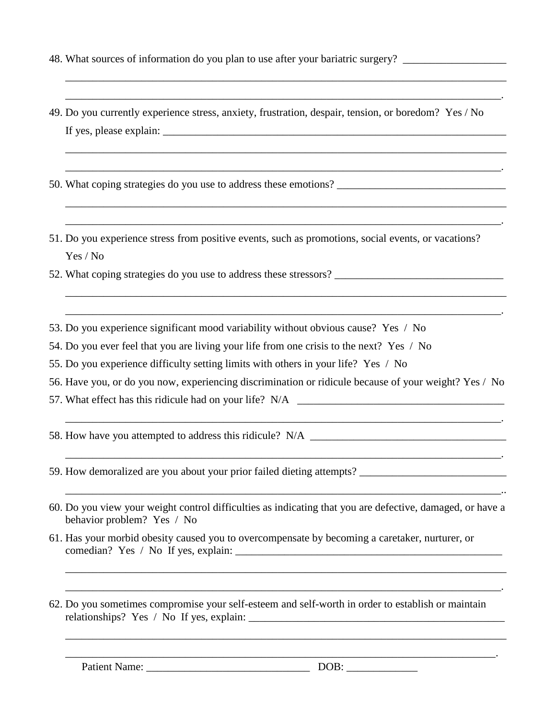- 48. What sources of information do you plan to use after your bariatric surgery? \_\_\_\_\_\_\_\_\_\_\_\_\_\_\_\_\_\_\_\_\_\_\_\_\_\_\_\_\_
- 49. Do you currently experience stress, anxiety, frustration, despair, tension, or boredom? Yes / No If yes, please explain:

\_\_\_\_\_\_\_\_\_\_\_\_\_\_\_\_\_\_\_\_\_\_\_\_\_\_\_\_\_\_\_\_\_\_\_\_\_\_\_\_\_\_\_\_\_\_\_\_\_\_\_\_\_\_\_\_\_\_\_\_\_\_\_\_\_\_\_\_\_\_\_\_\_\_\_\_\_\_\_\_\_ \_\_\_\_\_\_\_\_\_\_\_\_\_\_\_\_\_\_\_\_\_\_\_\_\_\_\_\_\_\_\_\_\_\_\_\_\_\_\_\_\_\_\_\_\_\_\_\_\_\_\_\_\_\_\_\_\_\_\_\_\_\_\_\_\_\_\_\_\_\_\_\_\_\_\_\_\_\_\_\_.

\_\_\_\_\_\_\_\_\_\_\_\_\_\_\_\_\_\_\_\_\_\_\_\_\_\_\_\_\_\_\_\_\_\_\_\_\_\_\_\_\_\_\_\_\_\_\_\_\_\_\_\_\_\_\_\_\_\_\_\_\_\_\_\_\_\_\_\_\_\_\_\_\_\_\_\_\_\_\_\_\_ \_\_\_\_\_\_\_\_\_\_\_\_\_\_\_\_\_\_\_\_\_\_\_\_\_\_\_\_\_\_\_\_\_\_\_\_\_\_\_\_\_\_\_\_\_\_\_\_\_\_\_\_\_\_\_\_\_\_\_\_\_\_\_\_\_\_\_\_\_\_\_\_\_\_\_\_\_\_\_\_.

\_\_\_\_\_\_\_\_\_\_\_\_\_\_\_\_\_\_\_\_\_\_\_\_\_\_\_\_\_\_\_\_\_\_\_\_\_\_\_\_\_\_\_\_\_\_\_\_\_\_\_\_\_\_\_\_\_\_\_\_\_\_\_\_\_\_\_\_\_\_\_\_\_\_\_\_\_\_\_\_\_ \_\_\_\_\_\_\_\_\_\_\_\_\_\_\_\_\_\_\_\_\_\_\_\_\_\_\_\_\_\_\_\_\_\_\_\_\_\_\_\_\_\_\_\_\_\_\_\_\_\_\_\_\_\_\_\_\_\_\_\_\_\_\_\_\_\_\_\_\_\_\_\_\_\_\_\_\_\_\_\_.

\_\_\_\_\_\_\_\_\_\_\_\_\_\_\_\_\_\_\_\_\_\_\_\_\_\_\_\_\_\_\_\_\_\_\_\_\_\_\_\_\_\_\_\_\_\_\_\_\_\_\_\_\_\_\_\_\_\_\_\_\_\_\_\_\_\_\_\_\_\_\_\_\_\_\_\_\_\_\_\_\_ \_\_\_\_\_\_\_\_\_\_\_\_\_\_\_\_\_\_\_\_\_\_\_\_\_\_\_\_\_\_\_\_\_\_\_\_\_\_\_\_\_\_\_\_\_\_\_\_\_\_\_\_\_\_\_\_\_\_\_\_\_\_\_\_\_\_\_\_\_\_\_\_\_\_\_\_\_\_\_\_.

- 50. What coping strategies do you use to address these emotions?
- 51. Do you experience stress from positive events, such as promotions, social events, or vacations? Yes / No
- 52. What coping strategies do you use to address these stressors? \_\_\_\_\_\_\_\_\_\_\_\_\_\_\_\_\_\_\_\_\_\_\_\_\_\_\_\_\_\_\_
- 53. Do you experience significant mood variability without obvious cause? Yes / No

54. Do you ever feel that you are living your life from one crisis to the next? Yes / No

55. Do you experience difficulty setting limits with others in your life? Yes / No

56. Have you, or do you now, experiencing discrimination or ridicule because of your weight? Yes / No

\_\_\_\_\_\_\_\_\_\_\_\_\_\_\_\_\_\_\_\_\_\_\_\_\_\_\_\_\_\_\_\_\_\_\_\_\_\_\_\_\_\_\_\_\_\_\_\_\_\_\_\_\_\_\_\_\_\_\_\_\_\_\_\_\_\_\_\_\_\_\_\_\_\_\_\_\_\_\_\_.

\_\_\_\_\_\_\_\_\_\_\_\_\_\_\_\_\_\_\_\_\_\_\_\_\_\_\_\_\_\_\_\_\_\_\_\_\_\_\_\_\_\_\_\_\_\_\_\_\_\_\_\_\_\_\_\_\_\_\_\_\_\_\_\_\_\_\_\_\_\_\_\_\_\_\_\_\_\_\_\_.

\_\_\_\_\_\_\_\_\_\_\_\_\_\_\_\_\_\_\_\_\_\_\_\_\_\_\_\_\_\_\_\_\_\_\_\_\_\_\_\_\_\_\_\_\_\_\_\_\_\_\_\_\_\_\_\_\_\_\_\_\_\_\_\_\_\_\_\_\_\_\_\_\_\_\_\_\_\_\_\_..

\_\_\_\_\_\_\_\_\_\_\_\_\_\_\_\_\_\_\_\_\_\_\_\_\_\_\_\_\_\_\_\_\_\_\_\_\_\_\_\_\_\_\_\_\_\_\_\_\_\_\_\_\_\_\_\_\_\_\_\_\_\_\_\_\_\_\_\_\_\_\_\_\_\_\_\_\_\_\_\_\_ \_\_\_\_\_\_\_\_\_\_\_\_\_\_\_\_\_\_\_\_\_\_\_\_\_\_\_\_\_\_\_\_\_\_\_\_\_\_\_\_\_\_\_\_\_\_\_\_\_\_\_\_\_\_\_\_\_\_\_\_\_\_\_\_\_\_\_\_\_\_\_\_\_\_\_\_\_\_\_\_.

\_\_\_\_\_\_\_\_\_\_\_\_\_\_\_\_\_\_\_\_\_\_\_\_\_\_\_\_\_\_\_\_\_\_\_\_\_\_\_\_\_\_\_\_\_\_\_\_\_\_\_\_\_\_\_\_\_\_\_\_\_\_\_\_\_\_\_\_\_\_\_\_\_\_\_\_\_\_\_\_\_

\_\_\_\_\_\_\_\_\_\_\_\_\_\_\_\_\_\_\_\_\_\_\_\_\_\_\_\_\_\_\_\_\_\_\_\_\_\_\_\_\_\_\_\_\_\_\_\_\_\_\_\_\_\_\_\_\_\_\_\_\_\_\_\_\_\_\_\_\_\_\_\_\_\_\_\_\_\_\_.

- 57. What effect has this ridicule had on your life? N/A
- 58. How have you attempted to address this ridicule? N/A \_\_\_\_\_\_\_\_\_\_\_\_\_\_\_\_\_\_\_\_\_\_\_\_

59. How demoralized are you about your prior failed dieting attempts?

- 60. Do you view your weight control difficulties as indicating that you are defective, damaged, or have a behavior problem? Yes / No
- 61. Has your morbid obesity caused you to overcompensate by becoming a caretaker, nurturer, or comedian? Yes / No If yes, explain: \_\_\_\_\_\_\_\_\_\_\_\_\_\_\_\_\_\_\_\_\_\_\_\_\_\_\_\_\_\_\_\_\_\_\_\_\_\_\_\_\_\_\_\_\_\_\_\_\_
- 62. Do you sometimes compromise your self-esteem and self-worth in order to establish or maintain relationships? Yes / No If yes, explain: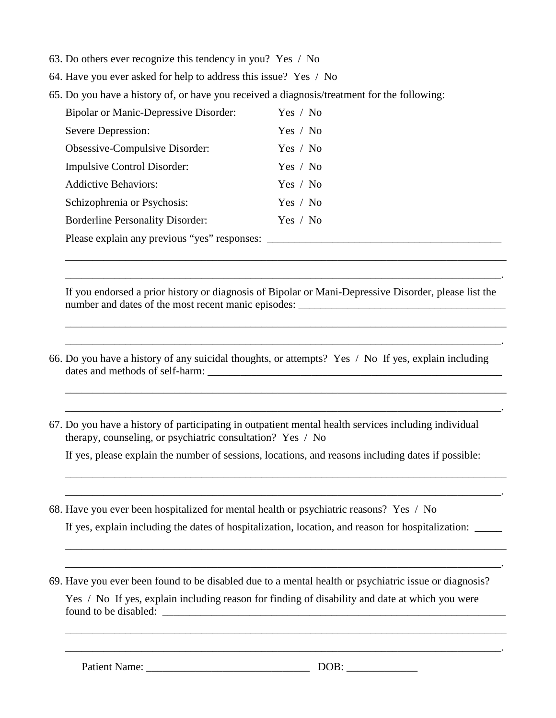- 63. Do others ever recognize this tendency in you? Yes / No
- 64. Have you ever asked for help to address this issue? Yes / No
- 65. Do you have a history of, or have you received a diagnosis/treatment for the following:

| <b>Bipolar or Manic-Depressive Disorder:</b> | Yes / No |
|----------------------------------------------|----------|
| Severe Depression:                           | Yes / No |
| Obsessive-Compulsive Disorder:               | Yes / No |
| <b>Impulsive Control Disorder:</b>           | Yes / No |
| <b>Addictive Behaviors:</b>                  | Yes / No |
| Schizophrenia or Psychosis:                  | Yes / No |
| <b>Borderline Personality Disorder:</b>      | Yes / No |
| Please explain any previous "yes" responses: |          |

If you endorsed a prior history or diagnosis of Bipolar or Mani-Depressive Disorder, please list the number and dates of the most recent manic episodes:

\_\_\_\_\_\_\_\_\_\_\_\_\_\_\_\_\_\_\_\_\_\_\_\_\_\_\_\_\_\_\_\_\_\_\_\_\_\_\_\_\_\_\_\_\_\_\_\_\_\_\_\_\_\_\_\_\_\_\_\_\_\_\_\_\_\_\_\_\_\_\_\_\_\_\_\_\_\_\_\_\_ \_\_\_\_\_\_\_\_\_\_\_\_\_\_\_\_\_\_\_\_\_\_\_\_\_\_\_\_\_\_\_\_\_\_\_\_\_\_\_\_\_\_\_\_\_\_\_\_\_\_\_\_\_\_\_\_\_\_\_\_\_\_\_\_\_\_\_\_\_\_\_\_\_\_\_\_\_\_\_\_.

\_\_\_\_\_\_\_\_\_\_\_\_\_\_\_\_\_\_\_\_\_\_\_\_\_\_\_\_\_\_\_\_\_\_\_\_\_\_\_\_\_\_\_\_\_\_\_\_\_\_\_\_\_\_\_\_\_\_\_\_\_\_\_\_\_\_\_\_\_\_\_\_\_\_\_\_\_\_\_\_\_ \_\_\_\_\_\_\_\_\_\_\_\_\_\_\_\_\_\_\_\_\_\_\_\_\_\_\_\_\_\_\_\_\_\_\_\_\_\_\_\_\_\_\_\_\_\_\_\_\_\_\_\_\_\_\_\_\_\_\_\_\_\_\_\_\_\_\_\_\_\_\_\_\_\_\_\_\_\_\_\_.

\_\_\_\_\_\_\_\_\_\_\_\_\_\_\_\_\_\_\_\_\_\_\_\_\_\_\_\_\_\_\_\_\_\_\_\_\_\_\_\_\_\_\_\_\_\_\_\_\_\_\_\_\_\_\_\_\_\_\_\_\_\_\_\_\_\_\_\_\_\_\_\_\_\_\_\_\_\_\_\_\_ \_\_\_\_\_\_\_\_\_\_\_\_\_\_\_\_\_\_\_\_\_\_\_\_\_\_\_\_\_\_\_\_\_\_\_\_\_\_\_\_\_\_\_\_\_\_\_\_\_\_\_\_\_\_\_\_\_\_\_\_\_\_\_\_\_\_\_\_\_\_\_\_\_\_\_\_\_\_\_\_.

- 66. Do you have a history of any suicidal thoughts, or attempts? Yes / No If yes, explain including dates and methods of self-harm:
- 67. Do you have a history of participating in outpatient mental health services including individual therapy, counseling, or psychiatric consultation? Yes / No

If yes, please explain the number of sessions, locations, and reasons including dates if possible:

\_\_\_\_\_\_\_\_\_\_\_\_\_\_\_\_\_\_\_\_\_\_\_\_\_\_\_\_\_\_\_\_\_\_\_\_\_\_\_\_\_\_\_\_\_\_\_\_\_\_\_\_\_\_\_\_\_\_\_\_\_\_\_\_\_\_\_\_\_\_\_\_\_\_\_\_\_\_\_\_\_ \_\_\_\_\_\_\_\_\_\_\_\_\_\_\_\_\_\_\_\_\_\_\_\_\_\_\_\_\_\_\_\_\_\_\_\_\_\_\_\_\_\_\_\_\_\_\_\_\_\_\_\_\_\_\_\_\_\_\_\_\_\_\_\_\_\_\_\_\_\_\_\_\_\_\_\_\_\_\_\_.

\_\_\_\_\_\_\_\_\_\_\_\_\_\_\_\_\_\_\_\_\_\_\_\_\_\_\_\_\_\_\_\_\_\_\_\_\_\_\_\_\_\_\_\_\_\_\_\_\_\_\_\_\_\_\_\_\_\_\_\_\_\_\_\_\_\_\_\_\_\_\_\_\_\_\_\_\_\_\_\_\_ \_\_\_\_\_\_\_\_\_\_\_\_\_\_\_\_\_\_\_\_\_\_\_\_\_\_\_\_\_\_\_\_\_\_\_\_\_\_\_\_\_\_\_\_\_\_\_\_\_\_\_\_\_\_\_\_\_\_\_\_\_\_\_\_\_\_\_\_\_\_\_\_\_\_\_\_\_\_\_\_.

\_\_\_\_\_\_\_\_\_\_\_\_\_\_\_\_\_\_\_\_\_\_\_\_\_\_\_\_\_\_\_\_\_\_\_\_\_\_\_\_\_\_\_\_\_\_\_\_\_\_\_\_\_\_\_\_\_\_\_\_\_\_\_\_\_\_\_\_\_\_\_\_\_\_\_\_\_\_\_\_\_ \_\_\_\_\_\_\_\_\_\_\_\_\_\_\_\_\_\_\_\_\_\_\_\_\_\_\_\_\_\_\_\_\_\_\_\_\_\_\_\_\_\_\_\_\_\_\_\_\_\_\_\_\_\_\_\_\_\_\_\_\_\_\_\_\_\_\_\_\_\_\_\_\_\_\_\_\_\_\_\_.

- 68. Have you ever been hospitalized for mental health or psychiatric reasons? Yes / No If yes, explain including the dates of hospitalization, location, and reason for hospitalization:
- 69. Have you ever been found to be disabled due to a mental health or psychiatric issue or diagnosis? Yes / No If yes, explain including reason for finding of disability and date at which you were found to be disabled: \_\_\_\_\_\_\_\_\_\_\_\_\_\_\_\_\_\_\_\_\_\_\_\_\_\_\_\_\_\_\_\_\_\_\_\_\_\_\_\_\_\_\_\_\_\_\_\_\_\_\_\_\_\_\_\_\_\_\_\_\_\_\_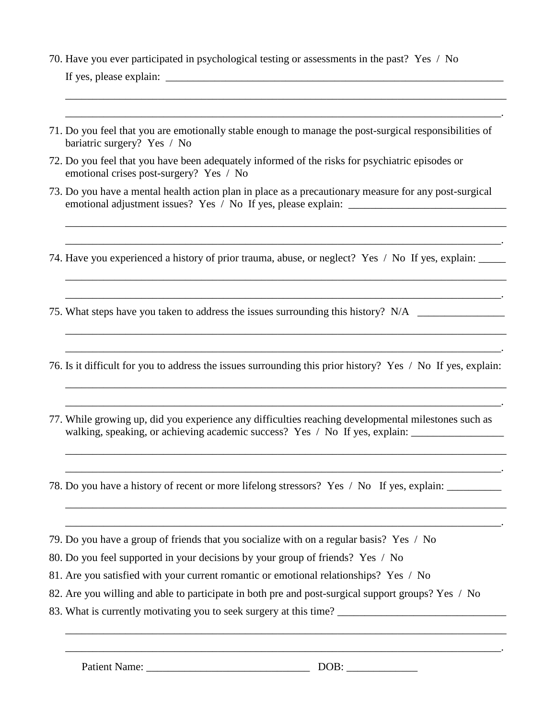70. Have you ever participated in psychological testing or assessments in the past? Yes / No

If yes, please explain:  $\Box$ 

71. Do you feel that you are emotionally stable enough to manage the post-surgical responsibilities of bariatric surgery? Yes / No

\_\_\_\_\_\_\_\_\_\_\_\_\_\_\_\_\_\_\_\_\_\_\_\_\_\_\_\_\_\_\_\_\_\_\_\_\_\_\_\_\_\_\_\_\_\_\_\_\_\_\_\_\_\_\_\_\_\_\_\_\_\_\_\_\_\_\_\_\_\_\_\_\_\_\_\_\_\_\_\_\_ \_\_\_\_\_\_\_\_\_\_\_\_\_\_\_\_\_\_\_\_\_\_\_\_\_\_\_\_\_\_\_\_\_\_\_\_\_\_\_\_\_\_\_\_\_\_\_\_\_\_\_\_\_\_\_\_\_\_\_\_\_\_\_\_\_\_\_\_\_\_\_\_\_\_\_\_\_\_\_\_.

- 72. Do you feel that you have been adequately informed of the risks for psychiatric episodes or emotional crises post-surgery? Yes / No
- 73. Do you have a mental health action plan in place as a precautionary measure for any post-surgical emotional adjustment issues? Yes / No If yes, please explain:

\_\_\_\_\_\_\_\_\_\_\_\_\_\_\_\_\_\_\_\_\_\_\_\_\_\_\_\_\_\_\_\_\_\_\_\_\_\_\_\_\_\_\_\_\_\_\_\_\_\_\_\_\_\_\_\_\_\_\_\_\_\_\_\_\_\_\_\_\_\_\_\_\_\_\_\_\_\_\_\_.

\_\_\_\_\_\_\_\_\_\_\_\_\_\_\_\_\_\_\_\_\_\_\_\_\_\_\_\_\_\_\_\_\_\_\_\_\_\_\_\_\_\_\_\_\_\_\_\_\_\_\_\_\_\_\_\_\_\_\_\_\_\_\_\_\_\_\_\_\_\_\_\_\_\_\_\_\_\_\_\_\_ \_\_\_\_\_\_\_\_\_\_\_\_\_\_\_\_\_\_\_\_\_\_\_\_\_\_\_\_\_\_\_\_\_\_\_\_\_\_\_\_\_\_\_\_\_\_\_\_\_\_\_\_\_\_\_\_\_\_\_\_\_\_\_\_\_\_\_\_\_\_\_\_\_\_\_\_\_\_\_\_.

\_\_\_\_\_\_\_\_\_\_\_\_\_\_\_\_\_\_\_\_\_\_\_\_\_\_\_\_\_\_\_\_\_\_\_\_\_\_\_\_\_\_\_\_\_\_\_\_\_\_\_\_\_\_\_\_\_\_\_\_\_\_\_\_\_\_\_\_\_\_\_\_\_\_\_\_\_\_\_\_\_ \_\_\_\_\_\_\_\_\_\_\_\_\_\_\_\_\_\_\_\_\_\_\_\_\_\_\_\_\_\_\_\_\_\_\_\_\_\_\_\_\_\_\_\_\_\_\_\_\_\_\_\_\_\_\_\_\_\_\_\_\_\_\_\_\_\_\_\_\_\_\_\_\_\_\_\_\_\_\_\_.

\_\_\_\_\_\_\_\_\_\_\_\_\_\_\_\_\_\_\_\_\_\_\_\_\_\_\_\_\_\_\_\_\_\_\_\_\_\_\_\_\_\_\_\_\_\_\_\_\_\_\_\_\_\_\_\_\_\_\_\_\_\_\_\_\_\_\_\_\_\_\_\_\_\_\_\_\_\_\_\_\_ \_\_\_\_\_\_\_\_\_\_\_\_\_\_\_\_\_\_\_\_\_\_\_\_\_\_\_\_\_\_\_\_\_\_\_\_\_\_\_\_\_\_\_\_\_\_\_\_\_\_\_\_\_\_\_\_\_\_\_\_\_\_\_\_\_\_\_\_\_\_\_\_\_\_\_\_\_\_\_\_.

\_\_\_\_\_\_\_\_\_\_\_\_\_\_\_\_\_\_\_\_\_\_\_\_\_\_\_\_\_\_\_\_\_\_\_\_\_\_\_\_\_\_\_\_\_\_\_\_\_\_\_\_\_\_\_\_\_\_\_\_\_\_\_\_\_\_\_\_\_\_\_\_\_\_\_\_\_\_\_\_\_ \_\_\_\_\_\_\_\_\_\_\_\_\_\_\_\_\_\_\_\_\_\_\_\_\_\_\_\_\_\_\_\_\_\_\_\_\_\_\_\_\_\_\_\_\_\_\_\_\_\_\_\_\_\_\_\_\_\_\_\_\_\_\_\_\_\_\_\_\_\_\_\_\_\_\_\_\_\_\_\_.

\_\_\_\_\_\_\_\_\_\_\_\_\_\_\_\_\_\_\_\_\_\_\_\_\_\_\_\_\_\_\_\_\_\_\_\_\_\_\_\_\_\_\_\_\_\_\_\_\_\_\_\_\_\_\_\_\_\_\_\_\_\_\_\_\_\_\_\_\_\_\_\_\_\_\_\_\_\_\_\_\_ \_\_\_\_\_\_\_\_\_\_\_\_\_\_\_\_\_\_\_\_\_\_\_\_\_\_\_\_\_\_\_\_\_\_\_\_\_\_\_\_\_\_\_\_\_\_\_\_\_\_\_\_\_\_\_\_\_\_\_\_\_\_\_\_\_\_\_\_\_\_\_\_\_\_\_\_\_\_\_\_.

\_\_\_\_\_\_\_\_\_\_\_\_\_\_\_\_\_\_\_\_\_\_\_\_\_\_\_\_\_\_\_\_\_\_\_\_\_\_\_\_\_\_\_\_\_\_\_\_\_\_\_\_\_\_\_\_\_\_\_\_\_\_\_\_\_\_\_\_\_\_\_\_\_\_\_\_\_\_\_\_\_ \_\_\_\_\_\_\_\_\_\_\_\_\_\_\_\_\_\_\_\_\_\_\_\_\_\_\_\_\_\_\_\_\_\_\_\_\_\_\_\_\_\_\_\_\_\_\_\_\_\_\_\_\_\_\_\_\_\_\_\_\_\_\_\_\_\_\_\_\_\_\_\_\_\_\_\_\_\_\_\_.

\_\_\_\_\_\_\_\_\_\_\_\_\_\_\_\_\_\_\_\_\_\_\_\_\_\_\_\_\_\_\_\_\_\_\_\_\_\_\_\_\_\_\_\_\_\_\_\_\_\_\_\_\_\_\_\_\_\_\_\_\_\_\_\_\_\_\_\_\_\_\_\_\_\_\_\_\_\_\_\_\_

- 74. Have you experienced a history of prior trauma, abuse, or neglect? Yes / No If yes, explain: \_\_\_\_\_
- 75. What steps have you taken to address the issues surrounding this history? N/A \_\_\_\_\_\_\_\_\_\_\_\_\_\_\_\_
- 76. Is it difficult for you to address the issues surrounding this prior history? Yes / No If yes, explain:
- 77. While growing up, did you experience any difficulties reaching developmental milestones such as walking, speaking, or achieving academic success? Yes / No If yes, explain: \_\_\_\_\_\_\_\_\_\_\_\_\_\_\_\_\_\_\_\_\_\_\_\_
- 78. Do you have a history of recent or more lifelong stressors? Yes / No If yes, explain: \_\_\_\_\_\_\_\_\_\_
- 79. Do you have a group of friends that you socialize with on a regular basis? Yes / No
- 80. Do you feel supported in your decisions by your group of friends? Yes / No
- 81. Are you satisfied with your current romantic or emotional relationships? Yes / No
- 82. Are you willing and able to participate in both pre and post-surgical support groups? Yes / No
- 83. What is currently motivating you to seek surgery at this time?